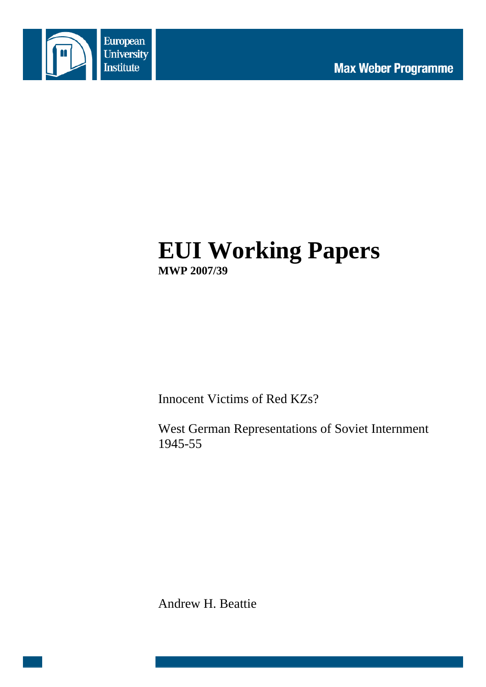

# **EUI Working Papers MWP 2007/39**

Innocent Victims of Red KZs?

West German Representations of Soviet Internment 1945-55

Andrew H. Beattie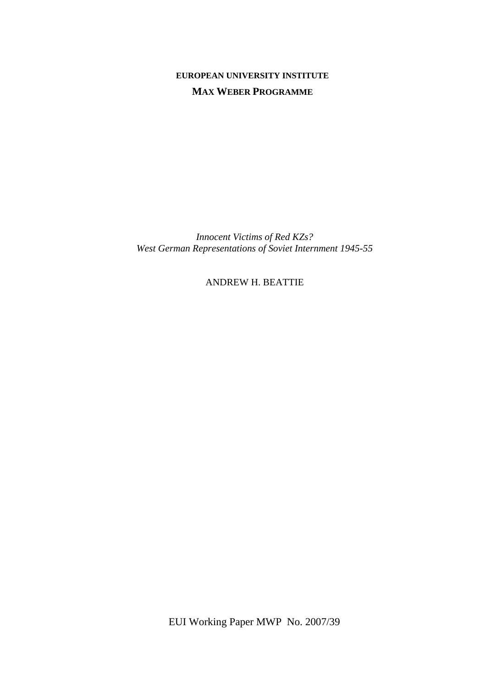# **EUROPEAN UNIVERSITY INSTITUTE MAX WEBER PROGRAMME**

*Innocent Victims of Red KZs? West German Representations of Soviet Internment 1945-55* 

ANDREW H. BEATTIE

EUI Working Paper MWP No. 2007/39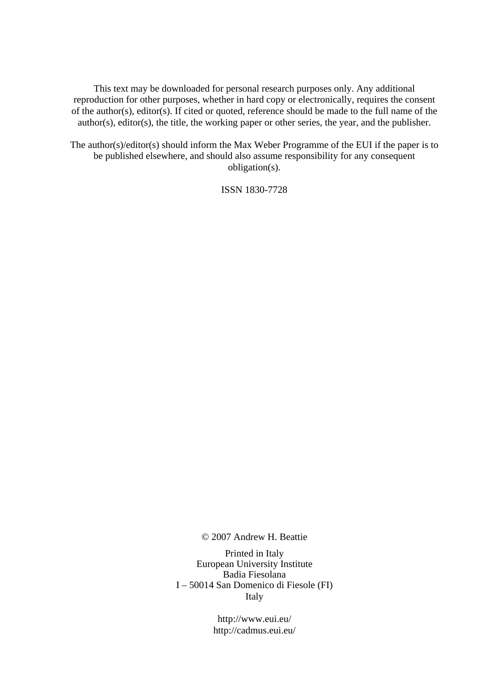This text may be downloaded for personal research purposes only. Any additional reproduction for other purposes, whether in hard copy or electronically, requires the consent of the author(s), editor(s). If cited or quoted, reference should be made to the full name of the author(s), editor(s), the title, the working paper or other series, the year, and the publisher.

The author(s)/editor(s) should inform the Max Weber Programme of the EUI if the paper is to be published elsewhere, and should also assume responsibility for any consequent obligation(s).

ISSN 1830-7728

© 2007 Andrew H. Beattie

Printed in Italy European University Institute Badia Fiesolana I – 50014 San Domenico di Fiesole (FI) Italy

> http://www.eui.eu/ http://cadmus.eui.eu/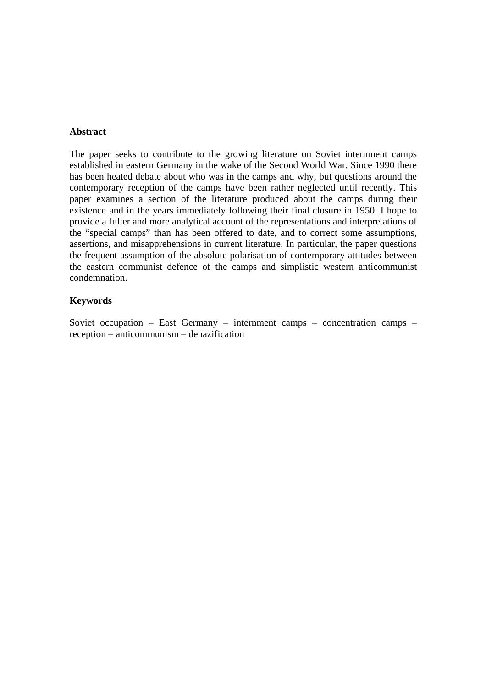## **Abstract**

The paper seeks to contribute to the growing literature on Soviet internment camps established in eastern Germany in the wake of the Second World War. Since 1990 there has been heated debate about who was in the camps and why, but questions around the contemporary reception of the camps have been rather neglected until recently. This paper examines a section of the literature produced about the camps during their existence and in the years immediately following their final closure in 1950. I hope to provide a fuller and more analytical account of the representations and interpretations of the "special camps" than has been offered to date, and to correct some assumptions, assertions, and misapprehensions in current literature. In particular, the paper questions the frequent assumption of the absolute polarisation of contemporary attitudes between the eastern communist defence of the camps and simplistic western anticommunist condemnation.

#### **Keywords**

Soviet occupation – East Germany – internment camps – concentration camps – reception – anticommunism – denazification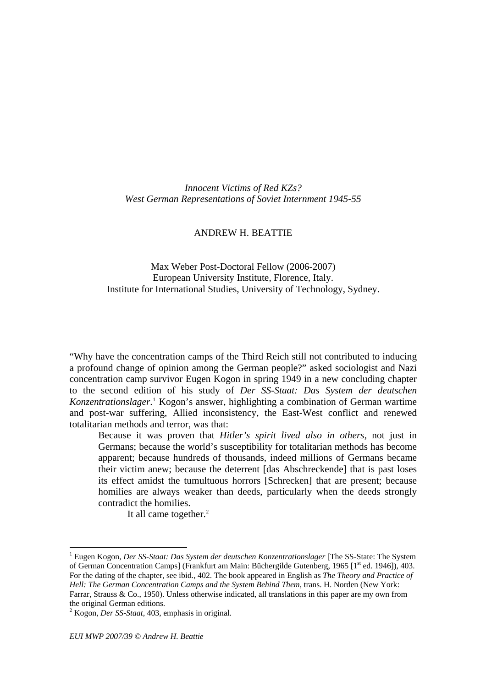<span id="page-6-0"></span>*Innocent Victims of Red KZs? West German Representations of Soviet Internment 1945-55* 

## ANDREW H. BEATTIE

# Max Weber Post-Doctoral Fellow (2006-2007) European University Institute, Florence, Italy. Institute for International Studies, University of Technology, Sydney.

"Why have the concentration camps of the Third Reich still not contributed to inducing a profound change of opinion among the German people?" asked sociologist and Nazi concentration camp survivor Eugen Kogon in spring 1949 in a new concluding chapter to the second edition of his study of *Der SS-Staat: Das System der deutschen*  Konzentrationslager.<sup>[1](#page-6-0)</sup> Kogon's answer, highlighting a combination of German wartime and post-war suffering, Allied inconsistency, the East-West conflict and renewed totalitarian methods and terror, was that:

Because it was proven that *Hitler's spirit lived also in others*, not just in Germans; because the world's susceptibility for totalitarian methods has become apparent; because hundreds of thousands, indeed millions of Germans became their victim anew; because the deterrent [das Abschreckende] that is past loses its effect amidst the tumultuous horrors [Schrecken] that are present; because homilies are always weaker than deeds, particularly when the deeds strongly contradict the homilies.

It all came together.<sup>2</sup>

<sup>&</sup>lt;sup>1</sup> Eugen Kogon, *Der SS-Staat: Das System der deutschen Konzentrationslager* [The SS-State: The System of German Concentration Camps] (Frankfurt am Main: Büchergilde Gutenberg, 1965 [1<sup>st</sup> ed. 1946]), 403. For the dating of the chapter, see ibid., 402. The book appeared in English as *The Theory and Practice of Hell: The German Concentration Camps and the System Behind Them*, trans. H. Norden (New York: Farrar, Strauss & Co., 1950). Unless otherwise indicated, all translations in this paper are my own from the original German editions.

<sup>2</sup> Kogon, *Der SS-Staat*, 403, emphasis in original.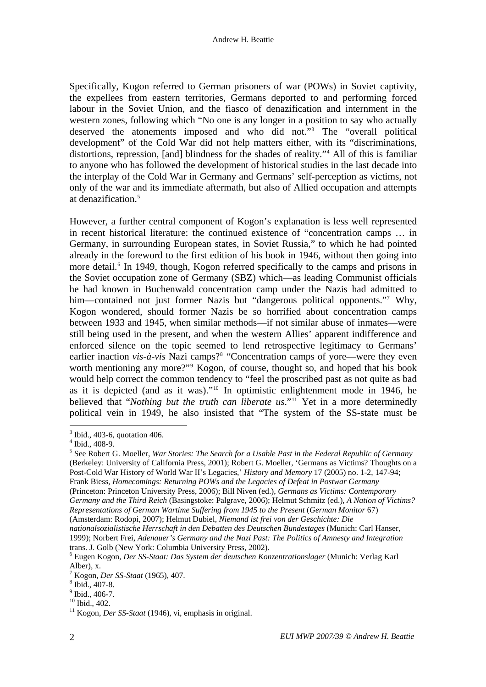<span id="page-7-0"></span>Specifically, Kogon referred to German prisoners of war (POWs) in Soviet captivity, the expellees from eastern territories, Germans deported to and performing forced labour in the Soviet Union, and the fiasco of denazification and internment in the western zones, following which "No one is any longer in a position to say who actually deserved the atonements imposed and who did not.["3](#page-7-0) The "overall political development" of the Cold War did not help matters either, with its "discriminations, distortions, repression, [and] blindness for the shades of reality."[4](#page-7-0) All of this is familiar to anyone who has followed the development of historical studies in the last decade into the interplay of the Cold War in Germany and Germans' self-perception as victims, not only of the war and its immediate aftermath, but also of Allied occupation and attempts at denazification.<sup>[5](#page-7-0)</sup>

However, a further central component of Kogon's explanation is less well represented in recent historical literature: the continued existence of "concentration camps … in Germany, in surrounding European states, in Soviet Russia," to which he had pointed already in the foreword to the first edition of his book in 1946, without then going into more detail.<sup>[6](#page-7-0)</sup> In 1949, though, Kogon referred specifically to the camps and prisons in the Soviet occupation zone of Germany (SBZ) which—as leading Communist officials he had known in Buchenwald concentration camp under the Nazis had admitted to him—contained not just former Nazis but "dangerous political opponents." Why, Kogon wondered, should former Nazis be so horrified about concentration camps between 1933 and 1945, when similar methods—if not similar abuse of inmates—were still being used in the present, and when the western Allies' apparent indifference and enforced silence on the topic seemed to lend retrospective legitimacy to Germans' earlier inaction *vis-à-vis* Nazi camps?<sup>[8](#page-7-0)</sup> "Concentration camps of yore—were they even worth mentioning any more?"<sup>[9](#page-7-0)</sup> Kogon, of course, thought so, and hoped that his book would help correct the common tendency to "feel the proscribed past as not quite as bad as it is depicted (and as it was)."[10](#page-7-0) In optimistic enlightenment mode in 1946, he believed that "*Nothing but the truth can liberate us*."<sup>[11](#page-7-0)</sup> Yet in a more determinedly political vein in 1949, he also insisted that "The system of the SS-state must be

 $\overline{a}$ 

(Amsterdam: Rodopi, 2007); Helmut Dubiel, *Niemand ist frei von der Geschichte: Die* 

<sup>&</sup>lt;sup>3</sup> Ibid., 403-6, quotation 406.

<sup>4</sup> Ibid., 408-9.

<sup>5</sup> See Robert G. Moeller, *War Stories: The Search for a Usable Past in the Federal Republic of Germany* (Berkeley: University of California Press, 2001); Robert G. Moeller, 'Germans as Victims? Thoughts on a Post-Cold War History of World War II's Legacies,' *History and Memory* 17 (2005) no. 1-2, 147-94; Frank Biess, *Homecomings: Returning POWs and the Legacies of Defeat in Postwar Germany* (Princeton: Princeton University Press, 2006); Bill Niven (ed.), *Germans as Victims: Contemporary Germany and the Third Reich* (Basingstoke: Palgrave, 2006); Helmut Schmitz (ed.), *A Nation of Victims? Representations of German Wartime Suffering from 1945 to the Present* (*German Monitor* 67)

*nationalsozialistische Herrschaft in den Debatten des Deutschen Bundestages* (Munich: Carl Hanser, 1999); Norbert Frei, *Adenauer's Germany and the Nazi Past: The Politics of Amnesty and Integration*  trans. J. Golb (New York: Columbia University Press, 2002).

<sup>6</sup> Eugen Kogon, *Der SS-Staat: Das System der deutschen Konzentrationslager* (Munich: Verlag Karl Alber), x.

<sup>&</sup>lt;sup>7</sup> Kogon, *Der SS-Staat* (1965), 407.<br><sup>8</sup> Ibid. 407. 8

 $8$  Ibid., 407-8.

 $9$  Ibid., 406-7.

<sup>&</sup>lt;sup>10</sup> Ibid., 402.

<sup>11</sup> Kogon, *Der SS-Staat* (1946), vi, emphasis in original.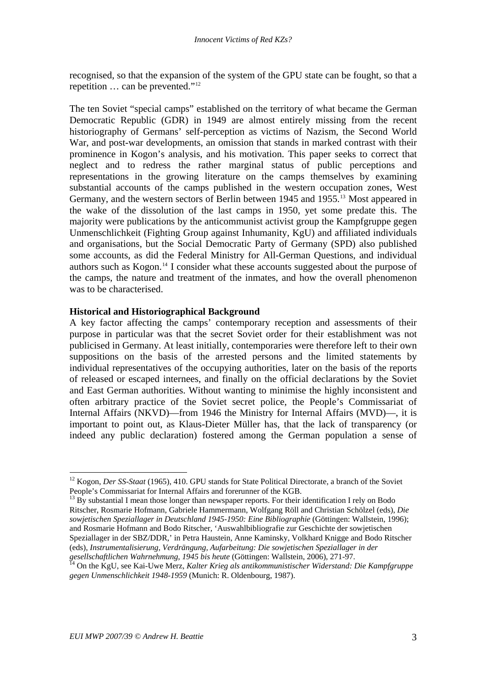<span id="page-8-0"></span>recognised, so that the expansion of the system of the GPU state can be fought, so that a repetition … can be prevented."[12](#page-8-0)

The ten Soviet "special camps" established on the territory of what became the German Democratic Republic (GDR) in 1949 are almost entirely missing from the recent historiography of Germans' self-perception as victims of Nazism, the Second World War, and post-war developments, an omission that stands in marked contrast with their prominence in Kogon's analysis, and his motivation. This paper seeks to correct that neglect and to redress the rather marginal status of public perceptions and representations in the growing literature on the camps themselves by examining substantial accounts of the camps published in the western occupation zones, West Germany, and the western sectors of Berlin between 1945 and 1955.<sup>[13](#page-8-0)</sup> Most appeared in the wake of the dissolution of the last camps in 1950, yet some predate this. The majority were publications by the anticommunist activist group the Kampfgruppe gegen Unmenschlichkeit (Fighting Group against Inhumanity, KgU) and affiliated individuals and organisations, but the Social Democratic Party of Germany (SPD) also published some accounts, as did the Federal Ministry for All-German Questions, and individual authors such as Kogon.[14](#page-8-0) I consider what these accounts suggested about the purpose of the camps, the nature and treatment of the inmates, and how the overall phenomenon was to be characterised.

#### **Historical and Historiographical Background**

A key factor affecting the camps' contemporary reception and assessments of their purpose in particular was that the secret Soviet order for their establishment was not publicised in Germany. At least initially, contemporaries were therefore left to their own suppositions on the basis of the arrested persons and the limited statements by individual representatives of the occupying authorities, later on the basis of the reports of released or escaped internees, and finally on the official declarations by the Soviet and East German authorities. Without wanting to minimise the highly inconsistent and often arbitrary practice of the Soviet secret police, the People's Commissariat of Internal Affairs (NKVD)—from 1946 the Ministry for Internal Affairs (MVD)—, it is important to point out, as Klaus-Dieter Müller has, that the lack of transparency (or indeed any public declaration) fostered among the German population a sense of

<sup>12</sup> Kogon, *Der SS-Staat* (1965), 410. GPU stands for State Political Directorate, a branch of the Soviet People's Commissariat for Internal Affairs and forerunner of the KGB.

 $^{13}$  By substantial I mean those longer than newspaper reports. For their identification I rely on Bodo Ritscher, Rosmarie Hofmann, Gabriele Hammermann, Wolfgang Röll and Christian Schölzel (eds), *Die sowjetischen Speziallager in Deutschland 1945-1950: Eine Bibliographie* (Göttingen: Wallstein, 1996); and Rosmarie Hofmann and Bodo Ritscher, 'Auswahlbibliografie zur Geschichte der sowjetischen Speziallager in der SBZ/DDR,' in Petra Haustein, Anne Kaminsky, Volkhard Knigge and Bodo Ritscher (eds), *Instrumentalisierung, Verdrängung, Aufarbeitung: Die sowjetischen Speziallager in der* 

*gesellschaftlichen Wahrnehmung, 1945 bis heute* (Göttingen: Wallstein, 2006), 271-97. 14 On the KgU, see Kai-Uwe Merz, *Kalter Krieg als antikommunistischer Widerstand: Die Kampfgruppe gegen Unmenschlichkeit 1948-1959* (Munich: R. Oldenbourg, 1987).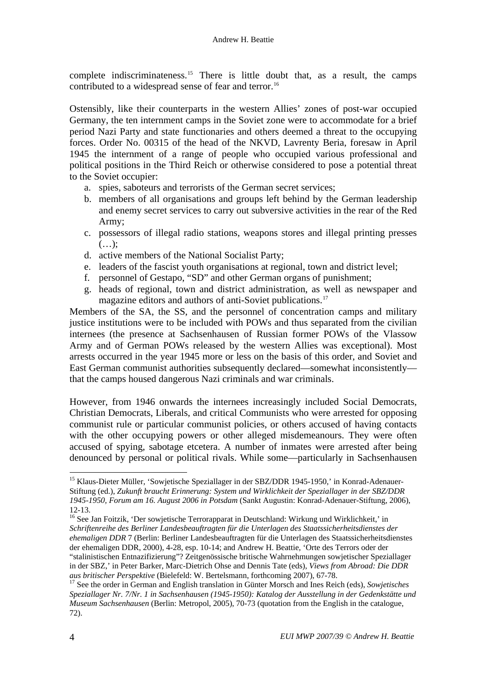<span id="page-9-0"></span>complete indiscriminateness.<sup>[15](#page-9-0)</sup> There is little doubt that, as a result, the camps contributed to a widespread sense of fear and terror.<sup>[16](#page-9-0)</sup>

Ostensibly, like their counterparts in the western Allies' zones of post-war occupied Germany, the ten internment camps in the Soviet zone were to accommodate for a brief period Nazi Party and state functionaries and others deemed a threat to the occupying forces. Order No. 00315 of the head of the NKVD, Lavrenty Beria, foresaw in April 1945 the internment of a range of people who occupied various professional and political positions in the Third Reich or otherwise considered to pose a potential threat to the Soviet occupier:

- a. spies, saboteurs and terrorists of the German secret services;
- b. members of all organisations and groups left behind by the German leadership and enemy secret services to carry out subversive activities in the rear of the Red Army;
- c. possessors of illegal radio stations, weapons stores and illegal printing presses  $(\ldots)$ :
- d. active members of the National Socialist Party;
- e. leaders of the fascist youth organisations at regional, town and district level;
- f. personnel of Gestapo, "SD" and other German organs of punishment;
- g. heads of regional, town and district administration, as well as newspaper and magazine editors and authors of anti-Soviet publications.<sup>[17](#page-9-0)</sup>

Members of the SA, the SS, and the personnel of concentration camps and military justice institutions were to be included with POWs and thus separated from the civilian internees (the presence at Sachsenhausen of Russian former POWs of the Vlassow Army and of German POWs released by the western Allies was exceptional). Most arrests occurred in the year 1945 more or less on the basis of this order, and Soviet and East German communist authorities subsequently declared—somewhat inconsistently that the camps housed dangerous Nazi criminals and war criminals.

However, from 1946 onwards the internees increasingly included Social Democrats, Christian Democrats, Liberals, and critical Communists who were arrested for opposing communist rule or particular communist policies, or others accused of having contacts with the other occupying powers or other alleged misdemeanours. They were often accused of spying, sabotage etcetera. A number of inmates were arrested after being denounced by personal or political rivals. While some—particularly in Sachsenhausen

<sup>&</sup>lt;sup>15</sup> Klaus-Dieter Müller, 'Sowjetische Speziallager in der SBZ/DDR 1945-1950,' in Konrad-Adenauer-Stiftung (ed.), *Zukunft braucht Erinnerung: System und Wirklichkeit der Speziallager in der SBZ/DDR 1945-1950, Forum am 16. August 2006 in Potsdam* (Sankt Augustin: Konrad-Adenauer-Stiftung, 2006), 12-13.

<sup>&</sup>lt;sup>16</sup> See Jan Foitzik, 'Der sowjetische Terrorapparat in Deutschland: Wirkung und Wirklichkeit,' in *Schriftenreihe des Berliner Landesbeauftragten für die Unterlagen des Staatssicherheitsdienstes der ehemaligen DDR* 7 (Berlin: Berliner Landesbeauftragten für die Unterlagen des Staatssicherheitsdienstes der ehemaligen DDR, 2000), 4-28, esp. 10-14; and Andrew H. Beattie, 'Orte des Terrors oder der "stalinistischen Entnazifizierung"? Zeitgenössische britische Wahrnehmungen sowjetischer Speziallager in der SBZ,' in Peter Barker, Marc-Dietrich Ohse and Dennis Tate (eds), *Views from Abroad: Die DDR* 

<sup>&</sup>lt;sup>17</sup> See the order in German and English translation in Günter Morsch and Ines Reich (eds), *Sowjetisches Speziallager Nr. 7/Nr. 1 in Sachsenhausen (1945-1950): Katalog der Ausstellung in der Gedenkstätte und Museum Sachsenhausen* (Berlin: Metropol, 2005), 70-73 (quotation from the English in the catalogue, 72).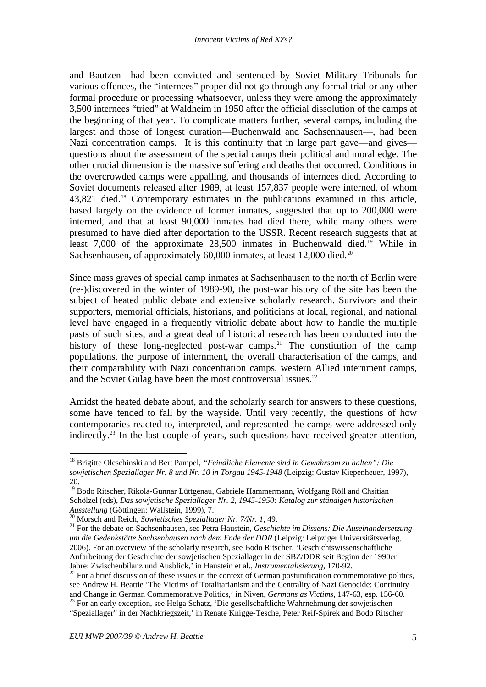<span id="page-10-0"></span>and Bautzen—had been convicted and sentenced by Soviet Military Tribunals for various offences, the "internees" proper did not go through any formal trial or any other formal procedure or processing whatsoever, unless they were among the approximately 3,500 internees "tried" at Waldheim in 1950 after the official dissolution of the camps at the beginning of that year. To complicate matters further, several camps, including the largest and those of longest duration—Buchenwald and Sachsenhausen—, had been Nazi concentration camps. It is this continuity that in large part gave—and gives questions about the assessment of the special camps their political and moral edge. The other crucial dimension is the massive suffering and deaths that occurred. Conditions in the overcrowded camps were appalling, and thousands of internees died. According to Soviet documents released after 1989, at least 157,837 people were interned, of whom 43,821 died.[18](#page-10-0) Contemporary estimates in the publications examined in this article, based largely on the evidence of former inmates, suggested that up to 200,000 were interned, and that at least 90,000 inmates had died there, while many others were presumed to have died after deportation to the USSR. Recent research suggests that at least 7,000 of the approximate 28,500 inmates in Buchenwald died.<sup>[19](#page-10-0)</sup> While in Sachsenhausen, of approximately 60,000 inmates, at least 12,000 died.<sup>[20](#page-10-0)</sup>

Since mass graves of special camp inmates at Sachsenhausen to the north of Berlin were (re-)discovered in the winter of 1989-90, the post-war history of the site has been the subject of heated public debate and extensive scholarly research. Survivors and their supporters, memorial officials, historians, and politicians at local, regional, and national level have engaged in a frequently vitriolic debate about how to handle the multiple pasts of such sites, and a great deal of historical research has been conducted into the history of these long-neglected post-war camps.<sup>[21](#page-10-0)</sup> The constitution of the camp populations, the purpose of internment, the overall characterisation of the camps, and their comparability with Nazi concentration camps, western Allied internment camps, and the Soviet Gulag have been the most controversial issues.<sup>[22](#page-10-0)</sup>

Amidst the heated debate about, and the scholarly search for answers to these questions, some have tended to fall by the wayside. Until very recently, the questions of how contemporaries reacted to, interpreted, and represented the camps were addressed only indirectly.[23](#page-10-0) In the last couple of years, such questions have received greater attention,

<sup>18</sup> Brigitte Oleschinski and Bert Pampel, *"Feindliche Elemente sind in Gewahrsam zu halten": Die sowjetischen Speziallager Nr. 8 und Nr. 10 in Torgau 1945-1948* (Leipzig: Gustav Kiepenheuer, 1997), 20.

<sup>19</sup> Bodo Ritscher, Rikola-Gunnar Lüttgenau, Gabriele Hammermann, Wolfgang Röll and Chsitian Schölzel (eds), *Das sowjetische Speziallager Nr. 2, 1945-1950: Katalog zur ständigen historischen*  Ausstellung (Göttingen: Wallstein, 1999), 7.<br><sup>20</sup> Morsch and Reich, *Sowjetisches Speziallager Nr. 7/Nr. 1*, 49.<br><sup>21</sup> For the debate on Sachsenhausen, see Petra Haustein, *Geschichte im Dissens: Die Auseinandersetzung* 

*um die Gedenkstätte Sachsenhausen nach dem Ende der DDR* (Leipzig: Leipziger Universitätsverlag, 2006). For an overview of the scholarly research, see Bodo Ritscher, 'Geschichtswissenschaftliche Aufarbeitung der Geschichte der sowjetischen Speziallager in der SBZ/DDR seit Beginn der 1990er Jahre: Zwischenbilanz und Ausblick,' in Haustein et al., *Instrumentalisierung*, 170-92.

<sup>&</sup>lt;sup>22</sup> For a brief discussion of these issues in the context of German postunification commemorative politics, see Andrew H. Beattie 'The Victims of Totalitarianism and the Centrality of Nazi Genocide: Continuity and Change in German Commemorative Politics,' in Niven, *Germans as Victims*, 147-63, esp. 156-60. <sup>23</sup> For an early exception, see Helga Schatz, 'Die gesellschaftliche Wahrnehmung der sowjetischen

<sup>&</sup>quot;Speziallager" in der Nachkriegszeit,' in Renate Knigge-Tesche, Peter Reif-Spirek and Bodo Ritscher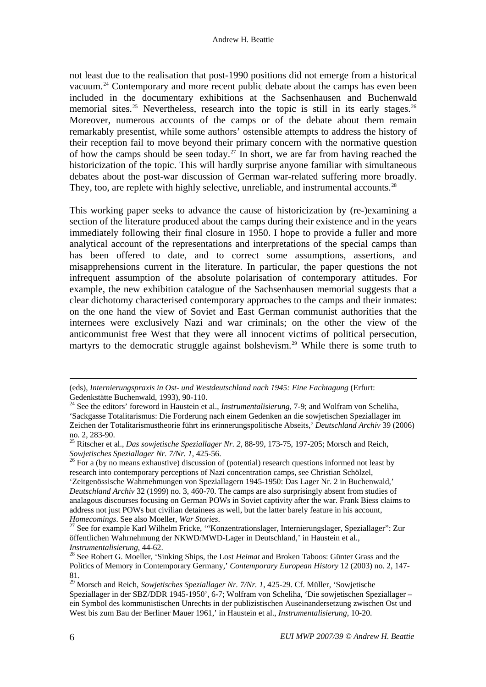<span id="page-11-0"></span>not least due to the realisation that post-1990 positions did not emerge from a historical vacuum.[24](#page-11-0) Contemporary and more recent public debate about the camps has even been included in the documentary exhibitions at the Sachsenhausen and Buchenwald memorial sites.<sup>[25](#page-11-0)</sup> Nevertheless, research into the topic is still in its early stages.<sup>[26](#page-11-0)</sup> Moreover, numerous accounts of the camps or of the debate about them remain remarkably presentist, while some authors' ostensible attempts to address the history of their reception fail to move beyond their primary concern with the normative question of how the camps should be seen today.<sup>[27](#page-11-0)</sup> In short, we are far from having reached the historicization of the topic. This will hardly surprise anyone familiar with simultaneous debates about the post-war discussion of German war-related suffering more broadly. They, too, are replete with highly selective, unreliable, and instrumental accounts.<sup>[28](#page-11-0)</sup>

This working paper seeks to advance the cause of historicization by (re-)examining a section of the literature produced about the camps during their existence and in the years immediately following their final closure in 1950. I hope to provide a fuller and more analytical account of the representations and interpretations of the special camps than has been offered to date, and to correct some assumptions, assertions, and misapprehensions current in the literature. In particular, the paper questions the not infrequent assumption of the absolute polarisation of contemporary attitudes. For example, the new exhibition catalogue of the Sachsenhausen memorial suggests that a clear dichotomy characterised contemporary approaches to the camps and their inmates: on the one hand the view of Soviet and East German communist authorities that the internees were exclusively Nazi and war criminals; on the other the view of the anticommunist free West that they were all innocent victims of political persecution, martyrs to the democratic struggle against bolshevism.<sup>[29](#page-11-0)</sup> While there is some truth to

 <sup>(</sup>eds), *Internierungspraxis in Ost- und Westdeutschland nach 1945: Eine Fachtagung* (Erfurt: Gedenkstätte Buchenwald, 1993), 90-110.

<sup>24</sup> See the editors' foreword in Haustein et al., *Instrumentalisierung*, 7-9; and Wolfram von Scheliha, 'Sackgasse Totalitarismus: Die Forderung nach einem Gedenken an die sowjetischen Speziallager im Zeichen der Totalitarismustheorie führt ins erinnerungspolitische Abseits,' *Deutschland Archiv* 39 (2006) no. 2, 283-90.

<sup>25</sup> Ritscher et al., *Das sowjetische Speziallager Nr. 2*, 88-99, 173-75, 197-205; Morsch and Reich, *Sowjetisches Speziallager Nr. 7/Nr. 1,* 425-56.<br><sup>26</sup> For a (by no means exhaustive) discussion of (potential) research questions informed not least by

research into contemporary perceptions of Nazi concentration camps, see Christian Schölzel, 'Zeitgenössische Wahrnehmungen von Speziallagern 1945-1950: Das Lager Nr. 2 in Buchenwald,'

*Deutschland Archiv* 32 (1999) no. 3, 460-70. The camps are also surprisingly absent from studies of analagous discourses focusing on German POWs in Soviet captivity after the war. Frank Biess claims to address not just POWs but civilian detainees as well, but the latter barely feature in his account,

*Homecomings*. See also Moeller, *War Stories*.<br><sup>27</sup> See for example Karl Wilhelm Fricke, "'Konzentrationslager, Internierungslager, Speziallager": Zur öffentlichen Wahrnehmung der NKWD/MWD-Lager in Deutschland,' in Haustein et al.,

*Instrumentalisierung*, 44-62.<br><sup>28</sup> See Robert G. Moeller, 'Sinking Ships, the Lost *Heimat* and Broken Taboos: Günter Grass and the Politics of Memory in Contemporary Germany,' *Contemporary European History* 12 (2003) no. 2, 147- 81.

<sup>29</sup> Morsch and Reich, *Sowjetisches Speziallager Nr. 7/Nr. 1*, 425-29. Cf. Müller, 'Sowjetische Speziallager in der SBZ/DDR 1945-1950', 6-7; Wolfram von Scheliha, 'Die sowjetischen Speziallager – ein Symbol des kommunistischen Unrechts in der publizistischen Auseinandersetzung zwischen Ost und West bis zum Bau der Berliner Mauer 1961,' in Haustein et al., *Instrumentalisierung*, 10-20.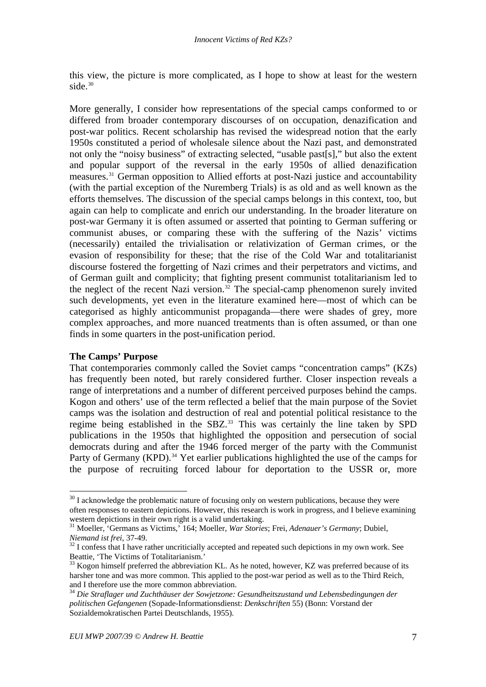<span id="page-12-0"></span>this view, the picture is more complicated, as I hope to show at least for the western side. $30$ 

More generally, I consider how representations of the special camps conformed to or differed from broader contemporary discourses of on occupation, denazification and post-war politics. Recent scholarship has revised the widespread notion that the early 1950s constituted a period of wholesale silence about the Nazi past, and demonstrated not only the "noisy business" of extracting selected, "usable past[s]," but also the extent and popular support of the reversal in the early 1950s of allied denazification measures.[31](#page-12-0) German opposition to Allied efforts at post-Nazi justice and accountability (with the partial exception of the Nuremberg Trials) is as old and as well known as the efforts themselves. The discussion of the special camps belongs in this context, too, but again can help to complicate and enrich our understanding. In the broader literature on post-war Germany it is often assumed or asserted that pointing to German suffering or communist abuses, or comparing these with the suffering of the Nazis' victims (necessarily) entailed the trivialisation or relativization of German crimes, or the evasion of responsibility for these; that the rise of the Cold War and totalitarianist discourse fostered the forgetting of Nazi crimes and their perpetrators and victims, and of German guilt and complicity; that fighting present communist totalitarianism led to the neglect of the recent Nazi version.<sup>[32](#page-12-0)</sup> The special-camp phenomenon surely invited such developments, yet even in the literature examined here—most of which can be categorised as highly anticommunist propaganda—there were shades of grey, more complex approaches, and more nuanced treatments than is often assumed, or than one finds in some quarters in the post-unification period.

## **The Camps' Purpose**

 $\overline{a}$ 

That contemporaries commonly called the Soviet camps "concentration camps" (KZs) has frequently been noted, but rarely considered further. Closer inspection reveals a range of interpretations and a number of different perceived purposes behind the camps. Kogon and others' use of the term reflected a belief that the main purpose of the Soviet camps was the isolation and destruction of real and potential political resistance to the regime being established in the SBZ.<sup>[33](#page-12-0)</sup> This was certainly the line taken by SPD publications in the 1950s that highlighted the opposition and persecution of social democrats during and after the 1946 forced merger of the party with the Communist Party of Germany (KPD).<sup>[34](#page-12-0)</sup> Yet earlier publications highlighted the use of the camps for the purpose of recruiting forced labour for deportation to the USSR or, more

 $30$  I acknowledge the problematic nature of focusing only on western publications, because they were often responses to eastern depictions. However, this research is work in progress, and I believe examining western depictions in their own right is a valid undertaking.

<sup>31</sup> Moeller, 'Germans as Victims,' 164; Moeller, *War Stories*; Frei, *Adenauer's Germany*; Dubiel,

*Niemand ist frei*, 37-49.<br><sup>32</sup> I confess that I have rather uncriticially accepted and repeated such depictions in my own work. See Beattie, 'The Victims of Totalitarianism.'

 $33$  Kogon himself preferred the abbreviation KL. As he noted, however, KZ was preferred because of its harsher tone and was more common. This applied to the post-war period as well as to the Third Reich, and I therefore use the more common abbreviation.

<sup>34</sup> *Die Straflager und Zuchthäuser der Sowjetzone: Gesundheitszustand und Lebensbedingungen der politischen Gefangenen* (Sopade-Informationsdienst: *Denkschriften* 55) (Bonn: Vorstand der Sozialdemokratischen Partei Deutschlands, 1955).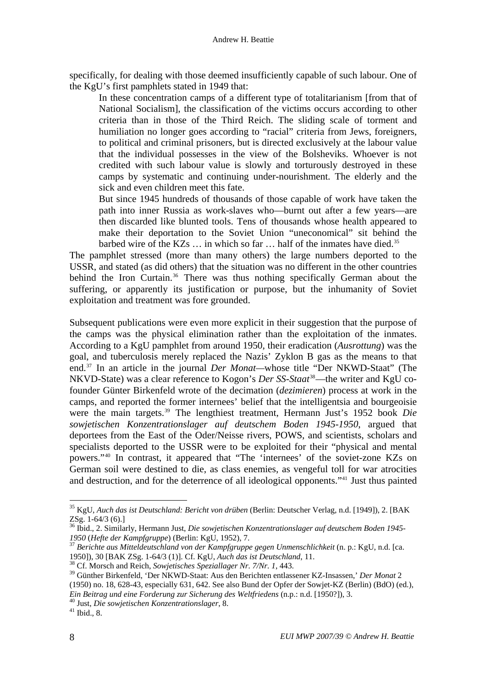<span id="page-13-0"></span>specifically, for dealing with those deemed insufficiently capable of such labour. One of the KgU's first pamphlets stated in 1949 that:

In these concentration camps of a different type of totalitarianism [from that of National Socialism], the classification of the victims occurs according to other criteria than in those of the Third Reich. The sliding scale of torment and humiliation no longer goes according to "racial" criteria from Jews, foreigners, to political and criminal prisoners, but is directed exclusively at the labour value that the individual possesses in the view of the Bolsheviks. Whoever is not credited with such labour value is slowly and torturously destroyed in these camps by systematic and continuing under-nourishment. The elderly and the sick and even children meet this fate.

But since 1945 hundreds of thousands of those capable of work have taken the path into inner Russia as work-slaves who—burnt out after a few years—are then discarded like blunted tools. Tens of thousands whose health appeared to make their deportation to the Soviet Union "uneconomical" sit behind the barbed wire of the KZs  $\dots$  in which so far  $\dots$  half of the inmates have died.<sup>[35](#page-13-0)</sup>

The pamphlet stressed (more than many others) the large numbers deported to the USSR, and stated (as did others) that the situation was no different in the other countries behind the Iron Curtain.<sup>[36](#page-13-0)</sup> There was thus nothing specifically German about the suffering, or apparently its justification or purpose, but the inhumanity of Soviet exploitation and treatment was fore grounded.

Subsequent publications were even more explicit in their suggestion that the purpose of the camps was the physical elimination rather than the exploitation of the inmates. According to a KgU pamphlet from around 1950, their eradication (*Ausrottung*) was the goal, and tuberculosis merely replaced the Nazis' Zyklon B gas as the means to that end.[37](#page-13-0) In an article in the journal *Der Monat—*whose title "Der NKWD-Staat" (The NKVD-State) was a clear reference to Kogon's *Der SS-Staat*[38](#page-13-0)—the writer and KgU cofounder Günter Birkenfeld wrote of the decimation (*dezimieren*) process at work in the camps, and reported the former internees' belief that the intelligentsia and bourgeoisie were the main targets.<sup>[39](#page-13-0)</sup> The lengthiest treatment, Hermann Just's 1952 book *Die sowjetischen Konzentrationslager auf deutschem Boden 1945-1950*, argued that deportees from the East of the Oder/Neisse rivers, POWS, and scientists, scholars and specialists deported to the USSR were to be exploited for their "physical and mental powers."[40](#page-13-0) In contrast, it appeared that "The 'internees' of the soviet-zone KZs on German soil were destined to die, as class enemies, as vengeful toll for war atrocities and destruction, and for the deterrence of all ideological opponents."[41](#page-13-0) Just thus painted

<sup>35</sup> KgU, *Auch das ist Deutschland: Bericht von drüben* (Berlin: Deutscher Verlag, n.d. [1949]), 2. [BAK ZSg. 1-64/3 (6).]

<sup>36</sup> Ibid., 2. Similarly, Hermann Just, *Die sowjetischen Konzentrationslager auf deutschem Boden 1945- <sup>1950</sup>* (*Hefte der Kampfgruppe*) (Berlin: KgU, 1952), 7. 37 *Berichte aus Mitteldeutschland von der Kampfgruppe gegen Unmenschlichkeit* (n. p.: KgU, n.d. [ca.

<sup>1950]), 30 [</sup>BAK ZSg. 1-64/3 (1)]. Cf. KgU, *Auch das ist Deutschland*, 11. 38 Cf. Morsch and Reich, *Sowjetisches Speziallager Nr. 7/Nr. 1*, 443.

<sup>39</sup> Günther Birkenfeld, 'Der NKWD-Staat: Aus den Berichten entlassener KZ-Insassen,' *Der Monat* 2 (1950) no. 18, 628-43, especially 631, 642. See also Bund der Opfer der Sowjet-KZ (Berlin) (BdO) (ed.), *Ein Beitrag und eine Forderung zur Sicherung des Weltfriedens* (n.p.: n.d. [1950?]), 3. 40 Just, *Die sowjetischen Konzentrationslager*, 8. 41 Ibid., 8.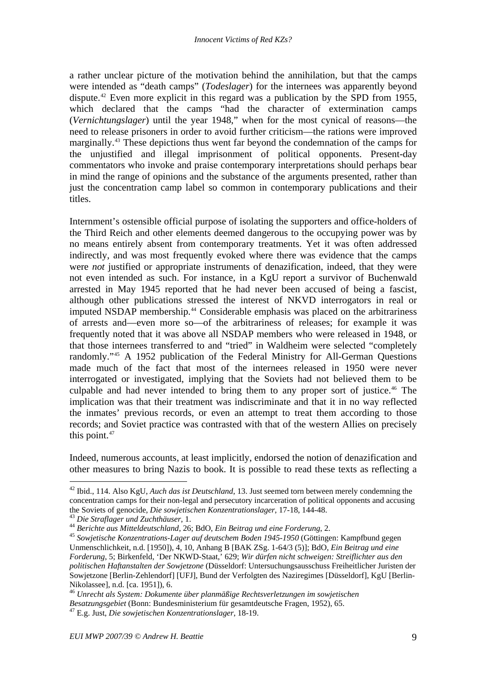<span id="page-14-0"></span>a rather unclear picture of the motivation behind the annihilation, but that the camps were intended as "death camps" (*Todeslager*) for the internees was apparently beyond dispute.[42](#page-14-0) Even more explicit in this regard was a publication by the SPD from 1955, which declared that the camps "had the character of extermination camps" (*Vernichtungslager*) until the year 1948," when for the most cynical of reasons—the need to release prisoners in order to avoid further criticism—the rations were improved marginally.<sup>[43](#page-14-0)</sup> These depictions thus went far beyond the condemnation of the camps for the unjustified and illegal imprisonment of political opponents. Present-day commentators who invoke and praise contemporary interpretations should perhaps bear in mind the range of opinions and the substance of the arguments presented, rather than just the concentration camp label so common in contemporary publications and their titles.

Internment's ostensible official purpose of isolating the supporters and office-holders of the Third Reich and other elements deemed dangerous to the occupying power was by no means entirely absent from contemporary treatments. Yet it was often addressed indirectly, and was most frequently evoked where there was evidence that the camps were *not* justified or appropriate instruments of denazification, indeed, that they were not even intended as such. For instance, in a KgU report a survivor of Buchenwald arrested in May 1945 reported that he had never been accused of being a fascist, although other publications stressed the interest of NKVD interrogators in real or imputed NSDAP membership.<sup>[44](#page-14-0)</sup> Considerable emphasis was placed on the arbitrariness of arrests and—even more so—of the arbitrariness of releases; for example it was frequently noted that it was above all NSDAP members who were released in 1948, or that those internees transferred to and "tried" in Waldheim were selected "completely randomly."[45](#page-14-0) A 1952 publication of the Federal Ministry for All-German Questions made much of the fact that most of the internees released in 1950 were never interrogated or investigated, implying that the Soviets had not believed them to be culpable and had never intended to bring them to any proper sort of justice.<sup>[46](#page-14-0)</sup> The implication was that their treatment was indiscriminate and that it in no way reflected the inmates' previous records, or even an attempt to treat them according to those records; and Soviet practice was contrasted with that of the western Allies on precisely this point. $47$ 

Indeed, numerous accounts, at least implicitly, endorsed the notion of denazification and other measures to bring Nazis to book. It is possible to read these texts as reflecting a

<sup>42</sup> Ibid., 114. Also KgU, *Auch das ist Deutschland*, 13. Just seemed torn between merely condemning the concentration camps for their non-legal and persecutory incarceration of political opponents and accusing the Soviets of genocide, *Die sowjetischen Konzentrationslager*, 17-18, 144-48.<br>
<sup>43</sup> Die Straflager und Zuchthäuser, 1.<br>
<sup>44</sup> Berichte aus Mitteldeutschland, 26; BdO, *Ein Beitrag und eine Forderung*, 2.<br>
<sup>45</sup> Sowjetische

Unmenschlichkeit, n.d. [1950]), 4, 10, Anhang B [BAK ZSg. 1-64/3 (5)]; BdO, *Ein Beitrag und eine Forderung*, 5; Birkenfeld, 'Der NKWD-Staat,' 629; *Wir dürfen nicht schweigen: Streiflichter aus den politischen Haftanstalten der Sowjetzone* (Düsseldorf: Untersuchungsausschuss Freiheitlicher Juristen der Sowjetzone [Berlin-Zehlendorf] [UFJ], Bund der Verfolgten des Naziregimes [Düsseldorf], KgU [Berlin-Nikolassee], n.d. [ca. 1951]), 6.

<sup>46</sup> *Unrecht als System: Dokumente über planmäßige Rechtsverletzungen im sowjetischen Besatzungsgebiet* (Bonn: Bundesministerium für gesamtdeutsche Fragen, 1952), 65. 47 E.g. Just, *Die sowjetischen Konzentrationslager*, 18-19.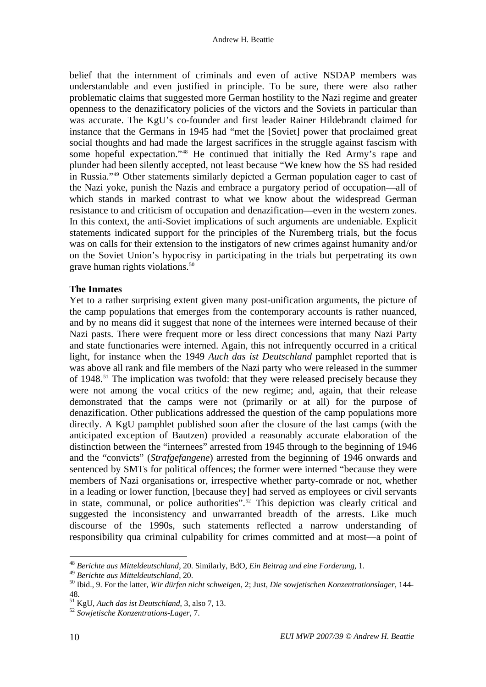<span id="page-15-0"></span>belief that the internment of criminals and even of active NSDAP members was understandable and even justified in principle. To be sure, there were also rather problematic claims that suggested more German hostility to the Nazi regime and greater openness to the denazificatory policies of the victors and the Soviets in particular than was accurate. The KgU's co-founder and first leader Rainer Hildebrandt claimed for instance that the Germans in 1945 had "met the [Soviet] power that proclaimed great social thoughts and had made the largest sacrifices in the struggle against fascism with some hopeful expectation."[48](#page-15-0) He continued that initially the Red Army's rape and plunder had been silently accepted, not least because "We knew how the SS had resided in Russia."[49](#page-15-0) Other statements similarly depicted a German population eager to cast of the Nazi yoke, punish the Nazis and embrace a purgatory period of occupation—all of which stands in marked contrast to what we know about the widespread German resistance to and criticism of occupation and denazification—even in the western zones. In this context, the anti-Soviet implications of such arguments are undeniable. Explicit statements indicated support for the principles of the Nuremberg trials, but the focus was on calls for their extension to the instigators of new crimes against humanity and/or on the Soviet Union's hypocrisy in participating in the trials but perpetrating its own grave human rights violations.<sup>[50](#page-15-0)</sup>

# **The Inmates**

Yet to a rather surprising extent given many post-unification arguments, the picture of the camp populations that emerges from the contemporary accounts is rather nuanced, and by no means did it suggest that none of the internees were interned because of their Nazi pasts. There were frequent more or less direct concessions that many Nazi Party and state functionaries were interned. Again, this not infrequently occurred in a critical light, for instance when the 1949 *Auch das ist Deutschland* pamphlet reported that is was above all rank and file members of the Nazi party who were released in the summer of 1948.<sup>[51](#page-15-0)</sup> The implication was twofold: that they were released precisely because they were not among the vocal critics of the new regime; and, again, that their release demonstrated that the camps were not (primarily or at all) for the purpose of denazification. Other publications addressed the question of the camp populations more directly. A KgU pamphlet published soon after the closure of the last camps (with the anticipated exception of Bautzen) provided a reasonably accurate elaboration of the distinction between the "internees" arrested from 1945 through to the beginning of 1946 and the "convicts" (*Strafgefangene*) arrested from the beginning of 1946 onwards and sentenced by SMTs for political offences; the former were interned "because they were members of Nazi organisations or, irrespective whether party-comrade or not, whether in a leading or lower function, [because they] had served as employees or civil servants in state, communal, or police authorities".<sup>[52](#page-15-0)</sup> This depiction was clearly critical and suggested the inconsistency and unwarranted breadth of the arrests. Like much discourse of the 1990s, such statements reflected a narrow understanding of responsibility qua criminal culpability for crimes committed and at most—a point of

<sup>48</sup> *Berichte aus Mitteldeutschland*, 20. Similarly, BdO, *Ein Beitrag und eine Forderung*, 1.

<sup>49</sup> *Berichte aus Mitteldeutschland*, 20. 50 Ibid., 9. For the latter, *Wir dürfen nicht schweigen*, 2; Just, *Die sowjetischen Konzentrationslager*, 144- 48.

<sup>51</sup> KgU, *Auch das ist Deutschland*, 3, also 7, 13. 52 *Sowjetische Konzentrations-Lager*, 7.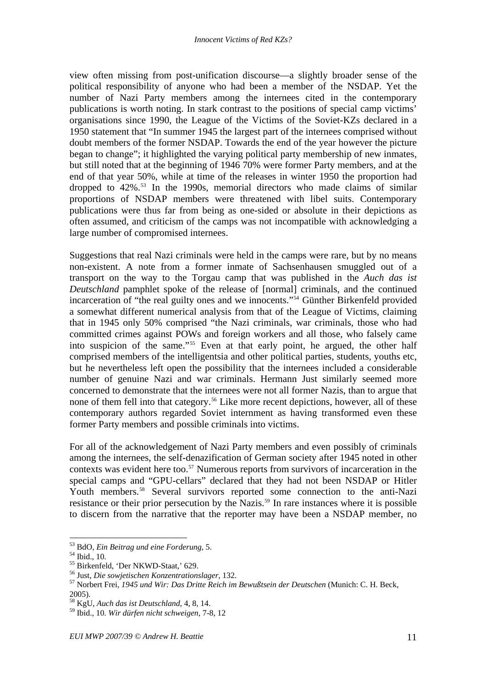<span id="page-16-0"></span>view often missing from post-unification discourse—a slightly broader sense of the political responsibility of anyone who had been a member of the NSDAP. Yet the number of Nazi Party members among the internees cited in the contemporary publications is worth noting. In stark contrast to the positions of special camp victims' organisations since 1990, the League of the Victims of the Soviet-KZs declared in a 1950 statement that "In summer 1945 the largest part of the internees comprised without doubt members of the former NSDAP. Towards the end of the year however the picture began to change"; it highlighted the varying political party membership of new inmates, but still noted that at the beginning of 1946 70% were former Party members, and at the end of that year 50%, while at time of the releases in winter 1950 the proportion had dropped to 42%.<sup>[53](#page-16-0)</sup> In the 1990s, memorial directors who made claims of similar proportions of NSDAP members were threatened with libel suits. Contemporary publications were thus far from being as one-sided or absolute in their depictions as often assumed, and criticism of the camps was not incompatible with acknowledging a large number of compromised internees.

Suggestions that real Nazi criminals were held in the camps were rare, but by no means non-existent. A note from a former inmate of Sachsenhausen smuggled out of a transport on the way to the Torgau camp that was published in the *Auch das ist Deutschland* pamphlet spoke of the release of [normal] criminals, and the continued incarceration of "the real guilty ones and we innocents."[54](#page-16-0) Günther Birkenfeld provided a somewhat different numerical analysis from that of the League of Victims, claiming that in 1945 only 50% comprised "the Nazi criminals, war criminals, those who had committed crimes against POWs and foreign workers and all those, who falsely came into suspicion of the same."<sup>[55](#page-16-0)</sup> Even at that early point, he argued, the other half comprised members of the intelligentsia and other political parties, students, youths etc, but he nevertheless left open the possibility that the internees included a considerable number of genuine Nazi and war criminals. Hermann Just similarly seemed more concerned to demonstrate that the internees were not all former Nazis, than to argue that none of them fell into that category.<sup>[56](#page-16-0)</sup> Like more recent depictions, however, all of these contemporary authors regarded Soviet internment as having transformed even these former Party members and possible criminals into victims.

For all of the acknowledgement of Nazi Party members and even possibly of criminals among the internees, the self-denazification of German society after 1945 noted in other contexts was evident here too.<sup>[57](#page-16-0)</sup> Numerous reports from survivors of incarceration in the special camps and "GPU-cellars" declared that they had not been NSDAP or Hitler Youth members.<sup>[58](#page-16-0)</sup> Several survivors reported some connection to the anti-Nazi resistance or their prior persecution by the Nazis.<sup>[59](#page-16-0)</sup> In rare instances where it is possible to discern from the narrative that the reporter may have been a NSDAP member, no

<sup>53</sup> BdO, *Ein Beitrag und eine Forderung*, 5. 54 Ibid., 10.

<sup>&</sup>lt;sup>55</sup> Birkenfeld, 'Der NKWD-Staat,' 629.<br><sup>56</sup> Just, *Die sowjetischen Konzentrationslager*, 132.

<sup>&</sup>lt;sup>57</sup> Norbert Frei, *1945 und Wir: Das Dritte Reich im Bewußtsein der Deutschen* (Munich: C. H. Beck, 2005).

<sup>58</sup> KgU, *Auch das ist Deutschland*, 4, 8, 14.

<sup>59</sup> Ibid., 10. *Wir dürfen nicht schweigen*, 7-8, 12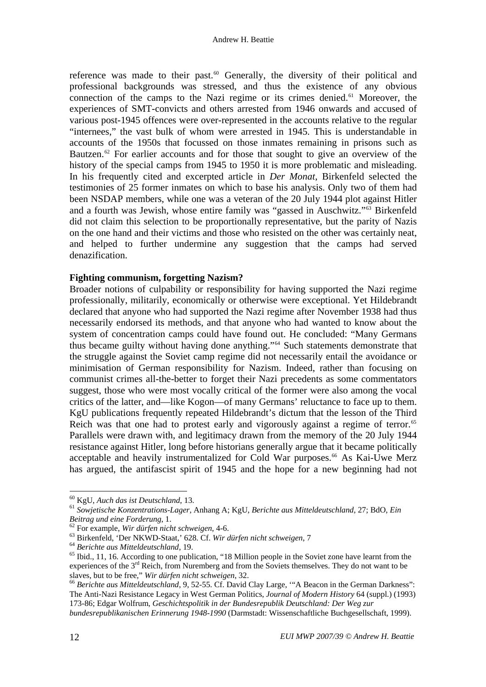<span id="page-17-0"></span>reference was made to their past.<sup>60</sup> Generally, the diversity of their political and professional backgrounds was stressed, and thus the existence of any obvious connection of the camps to the Nazi regime or its crimes denied.<sup> $61$ </sup> Moreover, the experiences of SMT-convicts and others arrested from 1946 onwards and accused of various post-1945 offences were over-represented in the accounts relative to the regular "internees," the vast bulk of whom were arrested in 1945. This is understandable in accounts of the 1950s that focussed on those inmates remaining in prisons such as Bautzen.<sup>[62](#page-17-0)</sup> For earlier accounts and for those that sought to give an overview of the history of the special camps from 1945 to 1950 it is more problematic and misleading. In his frequently cited and excerpted article in *Der Monat*, Birkenfeld selected the testimonies of 25 former inmates on which to base his analysis. Only two of them had been NSDAP members, while one was a veteran of the 20 July 1944 plot against Hitler and a fourth was Jewish, whose entire family was "gassed in Auschwitz."[63](#page-17-0) Birkenfeld did not claim this selection to be proportionally representative, but the parity of Nazis on the one hand and their victims and those who resisted on the other was certainly neat, and helped to further undermine any suggestion that the camps had served denazification.

# **Fighting communism, forgetting Nazism?**

Broader notions of culpability or responsibility for having supported the Nazi regime professionally, militarily, economically or otherwise were exceptional. Yet Hildebrandt declared that anyone who had supported the Nazi regime after November 1938 had thus necessarily endorsed its methods, and that anyone who had wanted to know about the system of concentration camps could have found out. He concluded: "Many Germans thus became guilty without having done anything.["64](#page-17-0) Such statements demonstrate that the struggle against the Soviet camp regime did not necessarily entail the avoidance or minimisation of German responsibility for Nazism. Indeed, rather than focusing on communist crimes all-the-better to forget their Nazi precedents as some commentators suggest, those who were most vocally critical of the former were also among the vocal critics of the latter, and—like Kogon—of many Germans' reluctance to face up to them. KgU publications frequently repeated Hildebrandt's dictum that the lesson of the Third Reich was that one had to protest early and vigorously against a regime of terror.<sup>[65](#page-17-0)</sup> Parallels were drawn with, and legitimacy drawn from the memory of the 20 July 1944 resistance against Hitler, long before historians generally argue that it became politically acceptable and heavily instrumentalized for Cold War purposes.<sup>[66](#page-17-0)</sup> As Kai-Uwe Merz has argued, the antifascist spirit of 1945 and the hope for a new beginning had not

 $60$  KgU, Auch das ist Deutschland, 13.

<sup>60</sup> KgU, *Auch das ist Deutschland*, 13. 61 *Sowjetische Konzentrations-Lager*, Anhang A; KgU, *Berichte aus Mitteldeutschland*, 27; BdO, *Ein*  Beitrag und eine Forderung, 1.<br>  $^{62}$  For example, Wir dürfen nicht schweigen, 4-6.<br>  $^{63}$  Birkenfeld, 'Der NKWD-Staat,' 628. Cf. Wir dürfen nicht schweigen, 7<br>  $^{64}$  Berichte aus Mitteldeutschland, 19.<br>  $^{65}$  Ibid.,

experiences of the  $3^{rd}$  Reich, from Nuremberg and from the Soviets themselves. They do not want to be slaves, but to be free," Wir dürfen nicht schweigen, 32.

<sup>&</sup>lt;sup>66</sup> Berichte aus Mitteldeutschland, 9, 52-55. Cf. David Clay Large, "A Beacon in the German Darkness": The Anti-Nazi Resistance Legacy in West German Politics, *Journal of Modern History* 64 (suppl.) (1993) 173-86; Edgar Wolfrum, *Geschichtspolitik in der Bundesrepublik Deutschland: Der Weg zur* 

*bundesrepublikanischen Erinnerung 1948-1990* (Darmstadt: Wissenschaftliche Buchgesellschaft, 1999).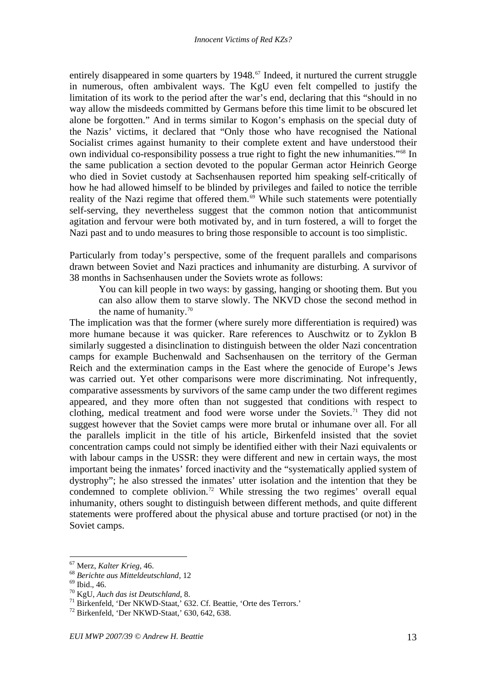<span id="page-18-0"></span>entirely disappeared in some quarters by  $1948$ .<sup>[67](#page-18-0)</sup> Indeed, it nurtured the current struggle in numerous, often ambivalent ways. The KgU even felt compelled to justify the limitation of its work to the period after the war's end, declaring that this "should in no way allow the misdeeds committed by Germans before this time limit to be obscured let alone be forgotten." And in terms similar to Kogon's emphasis on the special duty of the Nazis' victims, it declared that "Only those who have recognised the National Socialist crimes against humanity to their complete extent and have understood their own individual co-responsibility possess a true right to fight the new inhumanities."[68](#page-18-0) In the same publication a section devoted to the popular German actor Heinrich George who died in Soviet custody at Sachsenhausen reported him speaking self-critically of how he had allowed himself to be blinded by privileges and failed to notice the terrible reality of the Nazi regime that offered them. $69$  While such statements were potentially self-serving, they nevertheless suggest that the common notion that anticommunist agitation and fervour were both motivated by, and in turn fostered, a will to forget the Nazi past and to undo measures to bring those responsible to account is too simplistic.

Particularly from today's perspective, some of the frequent parallels and comparisons drawn between Soviet and Nazi practices and inhumanity are disturbing. A survivor of 38 months in Sachsenhausen under the Soviets wrote as follows:

You can kill people in two ways: by gassing, hanging or shooting them. But you can also allow them to starve slowly. The NKVD chose the second method in the name of humanity.<sup>[70](#page-18-0)</sup>

The implication was that the former (where surely more differentiation is required) was more humane because it was quicker. Rare references to Auschwitz or to Zyklon B similarly suggested a disinclination to distinguish between the older Nazi concentration camps for example Buchenwald and Sachsenhausen on the territory of the German Reich and the extermination camps in the East where the genocide of Europe's Jews was carried out. Yet other comparisons were more discriminating. Not infrequently, comparative assessments by survivors of the same camp under the two different regimes appeared, and they more often than not suggested that conditions with respect to clothing, medical treatment and food were worse under the Soviets.<sup>[71](#page-18-0)</sup> They did not suggest however that the Soviet camps were more brutal or inhumane over all. For all the parallels implicit in the title of his article, Birkenfeld insisted that the soviet concentration camps could not simply be identified either with their Nazi equivalents or with labour camps in the USSR: they were different and new in certain ways, the most important being the inmates' forced inactivity and the "systematically applied system of dystrophy"; he also stressed the inmates' utter isolation and the intention that they be condemned to complete oblivion.<sup>72</sup> While stressing the two regimes' overall equal inhumanity, others sought to distinguish between different methods, and quite different statements were proffered about the physical abuse and torture practised (or not) in the Soviet camps.

<sup>&</sup>lt;sup>67</sup> Merz, *Kalter Krieg*, 46.<br><sup>68</sup> *Berichte aus Mitteldeutschland*, 12<br><sup>69</sup> Ibid., 46.<br><sup>70</sup> KgU, *Auch das ist Deutschland*, 8.

<sup>&</sup>lt;sup>71</sup> Birkenfeld, 'Der NKWD-Staat,' 632. Cf. Beattie, 'Orte des Terrors.' <sup>72</sup> Birkenfeld, 'Der NKWD-Staat,' 630, 642, 638.